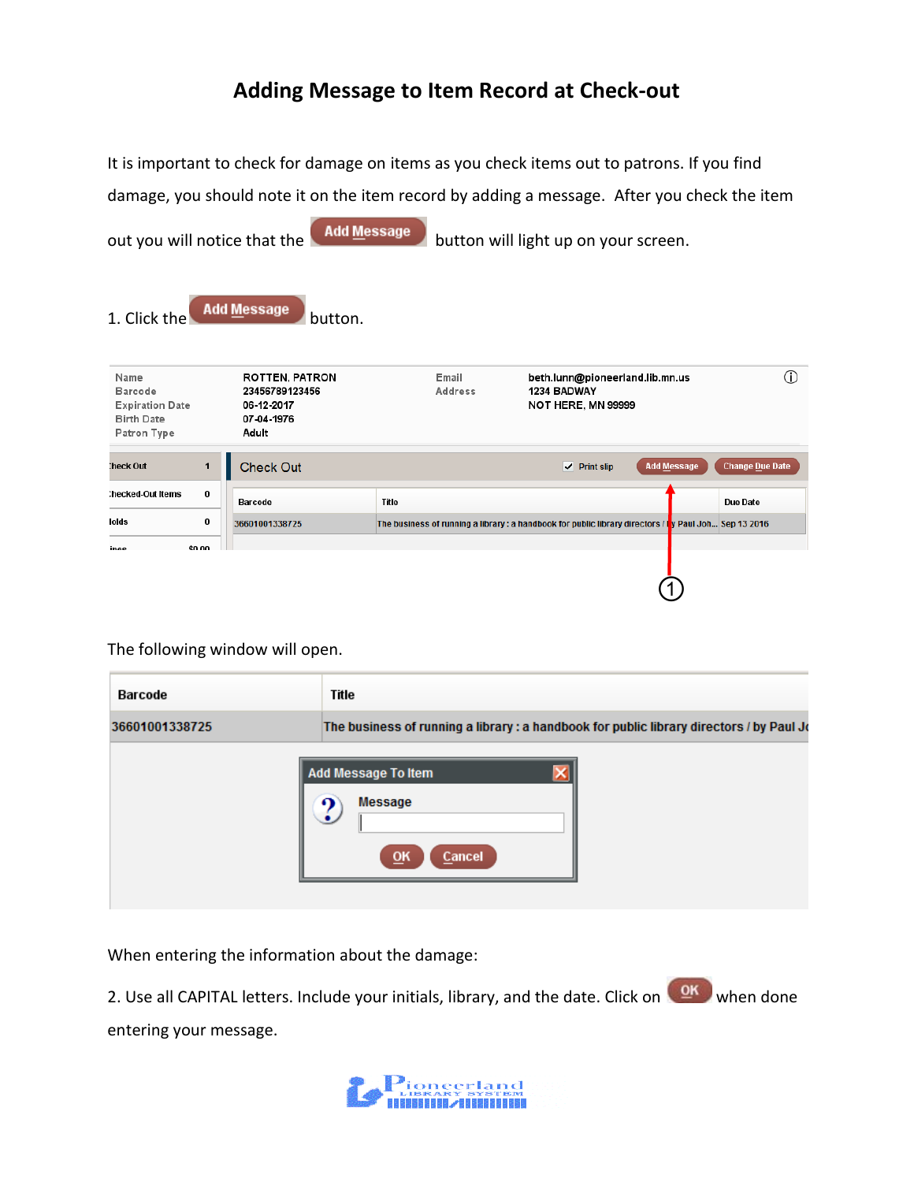## **Adding Message to Item Record at Check-out**

It is important to check for damage on items as you check items out to patrons. If you find damage, you should note it on the item record by adding a message. After you check the item

out you will notice that the  $\Box$  Add Message button will light up on your screen. 1. Click the Add Message button.  $\odot$ Name **ROTTEN, PATRON** Email beth.lunn@pioneerland.lib.mn.us **Barcode** 23456789123456 1234 BADWAY Address NOT HERE, MN 99999 **Expiration Date** 06-12-2017 Birth Date 07-04-1976 Patron Type Adult heck Out:  $\mathbf{1}$ Check Out  $\overline{\smash{\checkmark}}$  Print slip Add Message Change Due Date hecked-Out Items  $\pmb{0}$ Barcode **Title Due Date** lolds  $\pmb{0}$ 36601001338725 The business of running a library : a handbook for public library directors / t<mark>y</mark> Paul Joh... Sep 13 2016 inae \$0.00  $\overline{\textcircled{1}}$ 

The following window will open.

| Barcode        | Title                                                                                   |
|----------------|-----------------------------------------------------------------------------------------|
| 36601001338725 | The business of running a library: a handbook for public library directors / by Paul Jo |
|                | Add Message To Item<br><b>Message</b><br>QK<br>Cancel                                   |

When entering the information about the damage:

2. Use all CAPITAL letters. Include your initials, library, and the date. Click on when done entering your message.

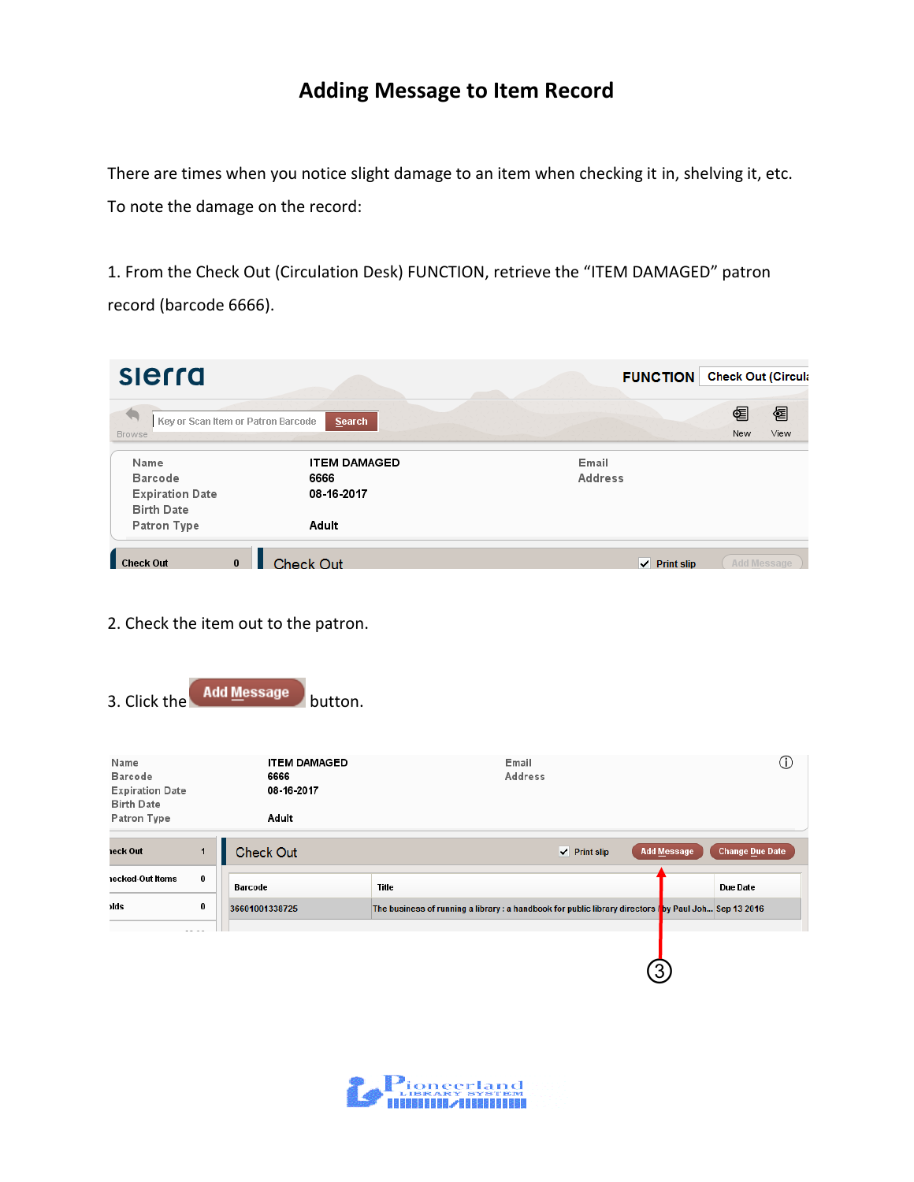## **Adding Message to Item Record**

There are times when you notice slight damage to an item when checking it in, shelving it, etc. To note the damage on the record:

1. From the Check Out (Circulation Desk) FUNCTION, retrieve the "ITEM DAMAGED" patron record (barcode 6666).

| slerra                                      |                                              | <b>Check Out (Circula</b><br><b>FUNCTION</b> |
|---------------------------------------------|----------------------------------------------|----------------------------------------------|
| <b>Browse</b>                               | Key or Scan Item or Patron Barcode<br>Search | 图<br>ᅊ<br>View<br>New                        |
| Name                                        | <b>ITEM DAMAGED</b>                          | Email                                        |
| Barcode                                     | 6666                                         | Address                                      |
| <b>Expiration Date</b><br><b>Birth Date</b> | 08-16-2017                                   |                                              |
| Patron Type                                 | Adult                                        |                                              |
| <b>Check Out</b>                            | Check Out:<br>$\bf{0}$                       | Add Message<br>$\vee$ Print slip             |

- 2. Check the item out to the patron.
- 3. Click the  $\left($  Add Message button.

| Name<br><b>Barcode</b><br><b>Expiration Date</b><br><b>Birth Date</b><br>Patron Type |   | <b>ITEM DAMAGED</b><br>6666<br>08-16-2017<br>Adult | Email<br>Address                                                                                       | Л.                                           |
|--------------------------------------------------------------------------------------|---|----------------------------------------------------|--------------------------------------------------------------------------------------------------------|----------------------------------------------|
| eck Out                                                                              |   | <b>Check Out</b>                                   | $\vee$ Print slip                                                                                      | <b>Change Due Date</b><br><b>Add Message</b> |
| ecked Out Items                                                                      | 0 | Barcode                                            | Title                                                                                                  | Due Date                                     |
| ) ds                                                                                 | 0 | 36601001338725                                     | The business of running a library: a handbook for public library directors follow Paul Joh Sep 13 2016 |                                              |
|                                                                                      |   |                                                    |                                                                                                        | 3                                            |

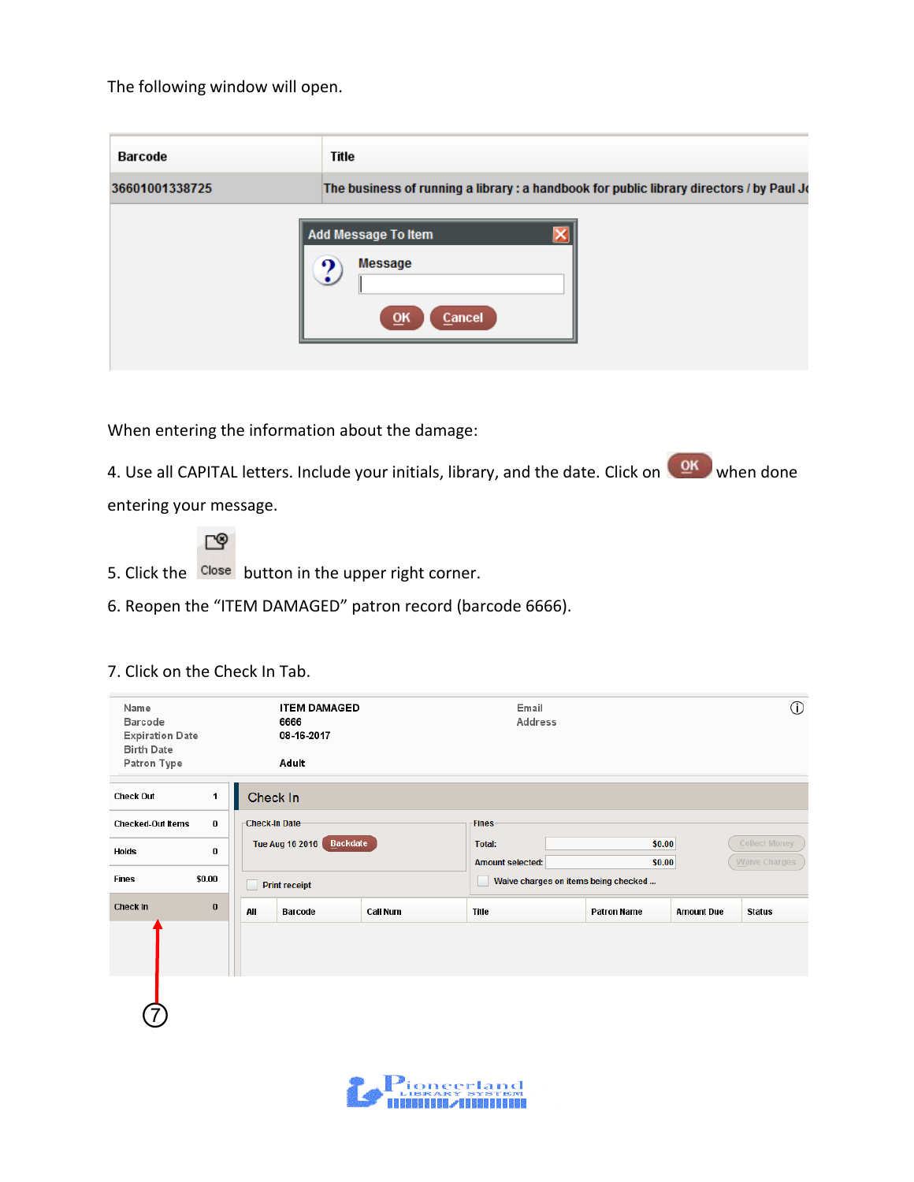The following window will open.

| Barcode        | Title                                                                                   |
|----------------|-----------------------------------------------------------------------------------------|
| 36601001338725 | The business of running a library: a handbook for public library directors / by Paul Jo |
|                | <b>Add Message To Item</b><br><b>Message</b><br>QK<br>Cancel                            |

When entering the information about the damage:

4. Use all CAPITAL letters. Include your initials, library, and the date. Click on when done entering your message.

≌⊡

- 5. Click the Close button in the upper right corner.
- 6. Reopen the "ITEM DAMAGED" patron record (barcode 6666).

| Name<br><b>Barcode</b><br><b>Expiration Date</b><br><b>Birth Date</b> |          |                      | <b>ITEM DAMAGED</b><br>6666<br>08-16-2017 |          | Email<br>Address                     |                    |                   | $^\circledR$         |
|-----------------------------------------------------------------------|----------|----------------------|-------------------------------------------|----------|--------------------------------------|--------------------|-------------------|----------------------|
| Patron Type                                                           |          |                      | Adult                                     |          |                                      |                    |                   |                      |
| <b>Check Out</b>                                                      | 1        | Check In             |                                           |          |                                      |                    |                   |                      |
| <b>Checked-Out Items</b>                                              | $\bf{0}$ | <b>Check-In Date</b> |                                           |          | <b>Fines</b>                         |                    |                   |                      |
| Holds                                                                 | 0        |                      | Backdate<br>Tue Aug 16 2016               |          | Total:                               | \$0.00             |                   | <b>Collect Money</b> |
|                                                                       |          |                      |                                           |          | <b>Amount selected:</b>              | \$0.00             |                   | Waive Charges        |
| <b>Fines</b>                                                          | \$0.00   | <b>Print receipt</b> |                                           |          | Waive charges on items being checked |                    |                   |                      |
| Check In                                                              | $\bf{0}$ | All                  | <b>Barcode</b>                            | Call Num | Title                                | <b>Patron Name</b> | <b>Amount Due</b> | <b>Status</b>        |
|                                                                       |          |                      |                                           |          |                                      |                    |                   |                      |
|                                                                       |          |                      |                                           |          |                                      |                    |                   |                      |

## 7. Click on the Check In Tab.